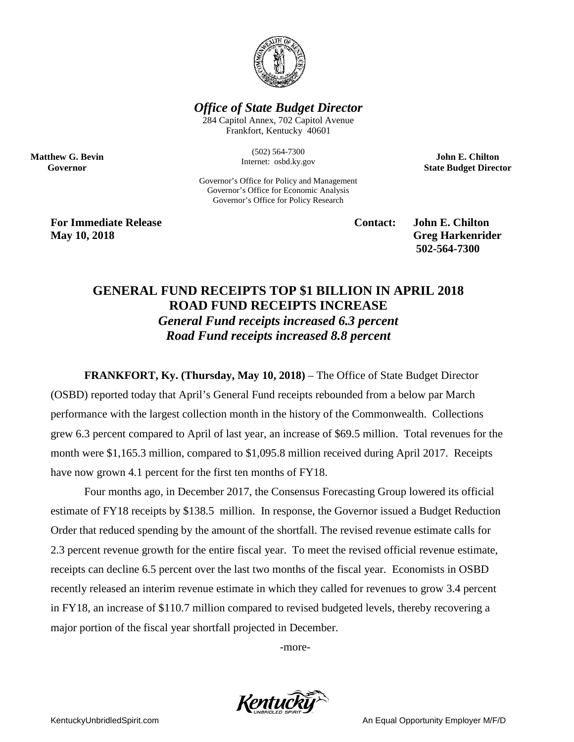

*Office of State Budget Director*

284 Capitol Annex, 702 Capitol Avenue Frankfort, Kentucky 40601

> (502) 564-7300 Internet: osbd.ky.gov

Governor's Office for Policy and Management Governor's Office for Economic Analysis Governor's Office for Policy Research

**John E. Chilton State Budget Director**

**For Immediate Release Contact: John E. Chilton May 10, 2018** Greg Harkenrider

**Matthew G. Bevin Governor**

**502-564-7300** 

## **GENERAL FUND RECEIPTS TOP \$1 BILLION IN APRIL 2018 ROAD FUND RECEIPTS INCREASE**  *General Fund receipts increased 6.3 percent Road Fund receipts increased 8.8 percent*

**FRANKFORT, Ky. (Thursday, May 10, 2018)** – The Office of State Budget Director (OSBD) reported today that April's General Fund receipts rebounded from a below par March performance with the largest collection month in the history of the Commonwealth. Collections grew 6.3 percent compared to April of last year, an increase of \$69.5 million. Total revenues for the month were \$1,165.3 million, compared to \$1,095.8 million received during April 2017. Receipts have now grown 4.1 percent for the first ten months of FY18.

Four months ago, in December 2017, the Consensus Forecasting Group lowered its official estimate of FY18 receipts by \$138.5 million. In response, the Governor issued a Budget Reduction Order that reduced spending by the amount of the shortfall. The revised revenue estimate calls for 2.3 percent revenue growth for the entire fiscal year. To meet the revised official revenue estimate, receipts can decline 6.5 percent over the last two months of the fiscal year. Economists in OSBD recently released an interim revenue estimate in which they called for revenues to grow 3.4 percent in FY18, an increase of \$110.7 million compared to revised budgeted levels, thereby recovering a major portion of the fiscal year shortfall projected in December.

-more-



KentuckyUnbridledSpirit.com **An Equal Opportunity Employer M/F/D** An Equal Opportunity Employer M/F/D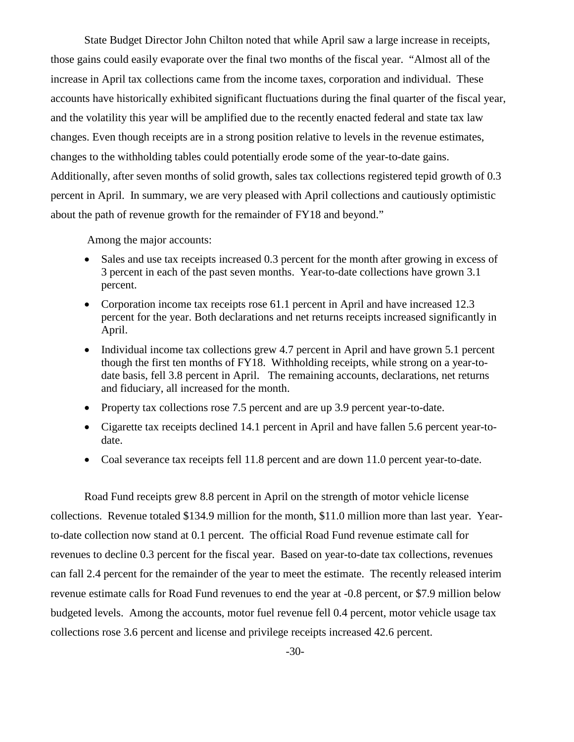State Budget Director John Chilton noted that while April saw a large increase in receipts, those gains could easily evaporate over the final two months of the fiscal year. "Almost all of the increase in April tax collections came from the income taxes, corporation and individual. These accounts have historically exhibited significant fluctuations during the final quarter of the fiscal year, and the volatility this year will be amplified due to the recently enacted federal and state tax law changes. Even though receipts are in a strong position relative to levels in the revenue estimates, changes to the withholding tables could potentially erode some of the year-to-date gains. Additionally, after seven months of solid growth, sales tax collections registered tepid growth of 0.3 percent in April. In summary, we are very pleased with April collections and cautiously optimistic about the path of revenue growth for the remainder of FY18 and beyond."

Among the major accounts:

- Sales and use tax receipts increased 0.3 percent for the month after growing in excess of 3 percent in each of the past seven months. Year-to-date collections have grown 3.1 percent.
- Corporation income tax receipts rose 61.1 percent in April and have increased 12.3 percent for the year. Both declarations and net returns receipts increased significantly in April.
- Individual income tax collections grew 4.7 percent in April and have grown 5.1 percent though the first ten months of FY18. Withholding receipts, while strong on a year-todate basis, fell 3.8 percent in April. The remaining accounts, declarations, net returns and fiduciary, all increased for the month.
- Property tax collections rose 7.5 percent and are up 3.9 percent year-to-date.
- Cigarette tax receipts declined 14.1 percent in April and have fallen 5.6 percent year-todate.
- Coal severance tax receipts fell 11.8 percent and are down 11.0 percent year-to-date.

Road Fund receipts grew 8.8 percent in April on the strength of motor vehicle license collections. Revenue totaled \$134.9 million for the month, \$11.0 million more than last year. Yearto-date collection now stand at 0.1 percent. The official Road Fund revenue estimate call for revenues to decline 0.3 percent for the fiscal year. Based on year-to-date tax collections, revenues can fall 2.4 percent for the remainder of the year to meet the estimate. The recently released interim revenue estimate calls for Road Fund revenues to end the year at -0.8 percent, or \$7.9 million below budgeted levels. Among the accounts, motor fuel revenue fell 0.4 percent, motor vehicle usage tax collections rose 3.6 percent and license and privilege receipts increased 42.6 percent.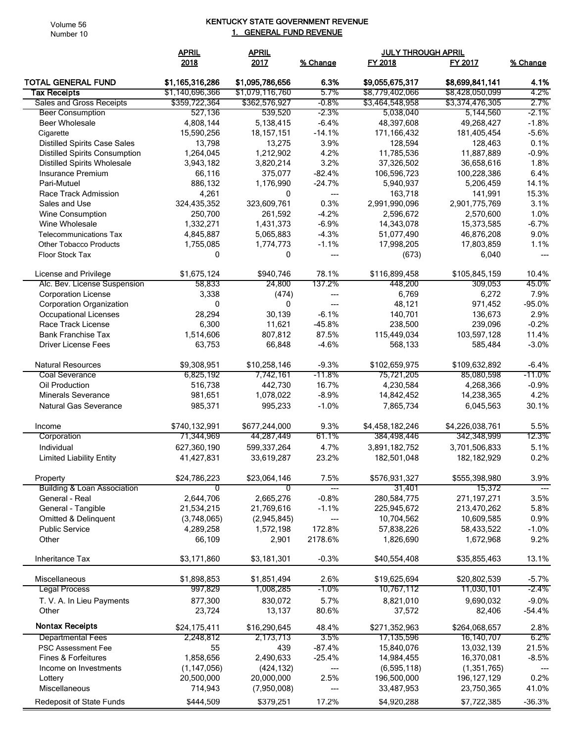Volume 56 Number 10

## KENTUCKY STATE GOVERNMENT REVENUE 1. GENERAL FUND REVENUE

|                                            | <b>APRIL</b>    | <b>APRIL</b>    |          | <b>JULY THROUGH APRIL</b> |                 |              |
|--------------------------------------------|-----------------|-----------------|----------|---------------------------|-----------------|--------------|
|                                            | 2018            | 2017            | % Change | <b>FY 2018</b>            | FY 2017         | % Change     |
| <b>TOTAL GENERAL FUND</b>                  | \$1,165,316,286 | \$1,095,786,656 | 6.3%     | \$9,055,675,317           | \$8,699,841,141 | 4.1%         |
| <b>Tax Receipts</b>                        | \$1,140,696,366 | \$1,079,116,760 | 5.7%     | \$8,779,402,066           | \$8,428,050,099 | 4.2%         |
| Sales and Gross Receipts                   | \$359,722,364   | \$362,576,927   | $-0.8\%$ | \$3,464,548,958           | \$3,374,476,305 | 2.7%         |
| <b>Beer Consumption</b>                    | 527,136         | 539,520         | $-2.3\%$ | 5,038,040                 | 5,144,560       | -2.1%        |
| <b>Beer Wholesale</b>                      | 4,808,144       | 5,138,415       | $-6.4%$  | 48,397,608                | 49,268,427      | $-1.8%$      |
| Cigarette                                  | 15,590,256      | 18, 157, 151    | $-14.1%$ | 171,166,432               | 181,405,454     | $-5.6%$      |
| <b>Distilled Spirits Case Sales</b>        | 13,798          | 13,275          | 3.9%     | 128,594                   | 128,463         | 0.1%         |
| <b>Distilled Spirits Consumption</b>       | 1,264,045       | 1,212,902       | 4.2%     | 11,785,536                | 11,887,889      | $-0.9%$      |
| <b>Distilled Spirits Wholesale</b>         | 3,943,182       | 3,820,214       | 3.2%     | 37,326,502                | 36,658,616      | 1.8%         |
| Insurance Premium                          | 66,116          | 375,077         | $-82.4%$ | 106,596,723               | 100,228,386     | 6.4%         |
| Pari-Mutuel                                | 886,132         | 1,176,990       | $-24.7%$ | 5,940,937                 | 5,206,459       | 14.1%        |
| Race Track Admission                       | 4,261           | $\mathbf{0}$    | ---      | 163,718                   | 141,991         | 15.3%        |
| Sales and Use                              | 324,435,352     | 323,609,761     | 0.3%     | 2,991,990,096             | 2,901,775,769   | 3.1%         |
| Wine Consumption                           | 250,700         | 261,592         | $-4.2%$  | 2,596,672                 | 2,570,600       | 1.0%         |
| Wine Wholesale                             | 1,332,271       | 1,431,373       | $-6.9%$  | 14,343,078                | 15,373,585      | $-6.7%$      |
| <b>Telecommunications Tax</b>              | 4,845,887       | 5,065,883       | $-4.3%$  | 51,077,490                | 46,876,208      | 9.0%         |
| <b>Other Tobacco Products</b>              | 1,755,085       | 1,774,773       | $-1.1%$  | 17,998,205                | 17,803,859      | 1.1%         |
| Floor Stock Tax                            | $\mathbf{0}$    | $\mathbf{0}$    | ---      | (673)                     | 6,040           | ---          |
| License and Privilege                      | \$1,675,124     | \$940,746       | 78.1%    | \$116,899,458             | \$105,845,159   | 10.4%        |
| Alc. Bev. License Suspension               | 58,833          | 24,800          | 137.2%   | 448,200                   | 309,053         | 45.0%        |
| <b>Corporation License</b>                 | 3,338           | (474)           | ---      | 6,769                     | 6,272           | 7.9%         |
| <b>Corporation Organization</b>            | $\Omega$        | 0               | ---      | 48,121                    | 971,452         | $-95.0%$     |
| Occupational Licenses                      | 28,294          | 30,139          | $-6.1%$  | 140,701                   | 136,673         | 2.9%         |
| Race Track License                         | 6,300           | 11,621          | $-45.8%$ | 238,500                   | 239,096         | $-0.2%$      |
| <b>Bank Franchise Tax</b>                  | 1,514,606       | 807,812         | 87.5%    | 115,449,034               | 103,597,128     | 11.4%        |
| <b>Driver License Fees</b>                 | 63,753          | 66,848          | $-4.6%$  | 568,133                   | 585,484         | $-3.0%$      |
| <b>Natural Resources</b>                   | \$9,308,951     | \$10,258,146    | $-9.3%$  | \$102,659,975             | \$109,632,892   | $-6.4%$      |
| <b>Coal Severance</b>                      | 6,825,192       | 7,742,161       | $-11.8%$ | 75,721,205                | 85,080,598      | $-11.0%$     |
| Oil Production                             | 516,738         | 442,730         | 16.7%    | 4,230,584                 | 4,268,366       | $-0.9%$      |
| <b>Minerals Severance</b>                  | 981,651         | 1,078,022       | $-8.9%$  | 14,842,452                | 14,238,365      | 4.2%         |
| Natural Gas Severance                      | 985,371         | 995,233         | $-1.0%$  | 7,865,734                 | 6,045,563       | 30.1%        |
| Income                                     | \$740,132,991   | \$677,244,000   | 9.3%     | \$4,458,182,246           | \$4,226,038,761 | 5.5%         |
| Corporation                                | 71,344,969      | 44,287,449      | 61.1%    | 384,498,446               | 342,348,999     | 12.3%        |
| Individual                                 | 627,360,190     | 599,337,264     | 4.7%     | 3,891,182,752             | 3,701,506,833   | 5.1%         |
| <b>Limited Liability Entity</b>            | 41,427,831      | 33,619,287      | 23.2%    | 182,501,048               | 182, 182, 929   | 0.2%         |
|                                            |                 |                 |          |                           |                 |              |
| Property                                   | \$24,786,223    | \$23,064,146    | 7.5%     | \$576,931,327             | \$555,398,980   | 3.9%         |
| <b>Building &amp; Loan Association</b>     | 0               | 0               | ---      | 31,401                    | 15,372          | $---$        |
| General - Real                             | 2,644,706       | 2,665,276       | $-0.8%$  | 280,584,775               | 271,197,271     | 3.5%         |
| General - Tangible<br>Omitted & Delinquent | 21,534,215      | 21,769,616      | $-1.1%$  | 225,945,672               | 213,470,262     | 5.8%<br>0.9% |
|                                            | (3,748,065)     | (2,945,845)     | ---      | 10,704,562                | 10,609,585      |              |
| <b>Public Service</b>                      | 4,289,258       | 1,572,198       | 172.8%   | 57,838,226                | 58,433,522      | $-1.0%$      |
| Other                                      | 66,109          | 2,901           | 2178.6%  | 1,826,690                 | 1,672,968       | 9.2%         |
| Inheritance Tax                            | \$3,171,860     | \$3,181,301     | $-0.3%$  | \$40,554,408              | \$35,855,463    | 13.1%        |
| Miscellaneous                              | \$1,898,853     | \$1,851,494     | 2.6%     | \$19,625,694              | \$20,802,539    | $-5.7%$      |
| <b>Legal Process</b>                       | 997,829         | 1,008,285       | $-1.0\%$ | 10,767,112                | 11,030,101      | -2.4%        |
| T. V. A. In Lieu Payments                  | 877,300         | 830,072         | 5.7%     | 8,821,010                 | 9,690,032       | $-9.0%$      |
| Other                                      | 23,724          | 13,137          | 80.6%    | 37,572                    | 82,406          | $-54.4%$     |
| <b>Nontax Receipts</b>                     | \$24,175,411    | \$16,290,645    | 48.4%    | \$271,352,963             | \$264,068,657   | 2.8%         |
| <b>Departmental Fees</b>                   | 2,248,812       | 2,173,713       | 3.5%     | 17,135,596                | 16,140,707      | 6.2%         |
| <b>PSC Assessment Fee</b>                  | 55              | 439             | $-87.4%$ | 15,840,076                | 13,032,139      | 21.5%        |
| Fines & Forfeitures                        | 1,858,656       | 2,490,633       | $-25.4%$ | 14,984,455                | 16,370,081      | $-8.5%$      |
| Income on Investments                      | (1, 147, 056)   | (424, 132)      | ---      | (6,595,118)               | (1, 351, 765)   |              |
| Lottery                                    | 20,500,000      | 20,000,000      | 2.5%     | 196,500,000               | 196, 127, 129   | 0.2%         |
| Miscellaneous                              | 714,943         | (7,950,008)     | ---      | 33,487,953                | 23,750,365      | 41.0%        |
| Redeposit of State Funds                   | \$444,509       | \$379,251       | 17.2%    | \$4,920,288               | \$7,722,385     | $-36.3%$     |